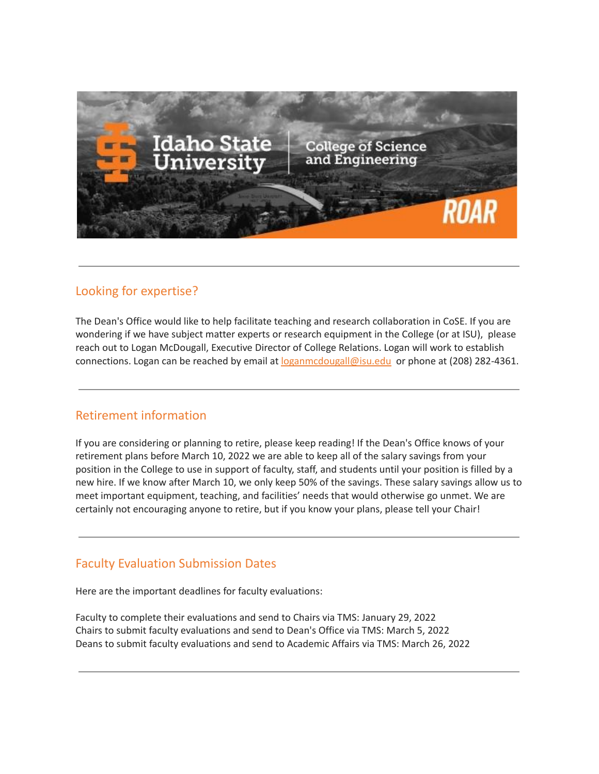

#### Looking for expertise?

The Dean's Office would like to help facilitate teaching and research collaboration in CoSE. If you are wondering if we have subject matter experts or research equipment in the College (or at ISU), please reach out to Logan McDougall, Executive Director of College Relations. Logan will work to establish connections. Logan can be reached by email at [loganmcdougall@isu.edu](mailto:loganmcdougall@isu.edu) or phone at (208) 282-4361.

## Retirement information

If you are considering or planning to retire, please keep reading! If the Dean's Office knows of your retirement plans before March 10, 2022 we are able to keep all of the salary savings from your position in the College to use in support of faculty, staff, and students until your position is filled by a new hire. If we know after March 10, we only keep 50% of the savings. These salary savings allow us to meet important equipment, teaching, and facilities' needs that would otherwise go unmet. We are certainly not encouraging anyone to retire, but if you know your plans, please tell your Chair!

## Faculty Evaluation Submission Dates

Here are the important deadlines for faculty evaluations:

Faculty to complete their evaluations and send to Chairs via TMS: January 29, 2022 Chairs to submit faculty evaluations and send to Dean's Office via TMS: March 5, 2022 Deans to submit faculty evaluations and send to Academic Affairs via TMS: March 26, 2022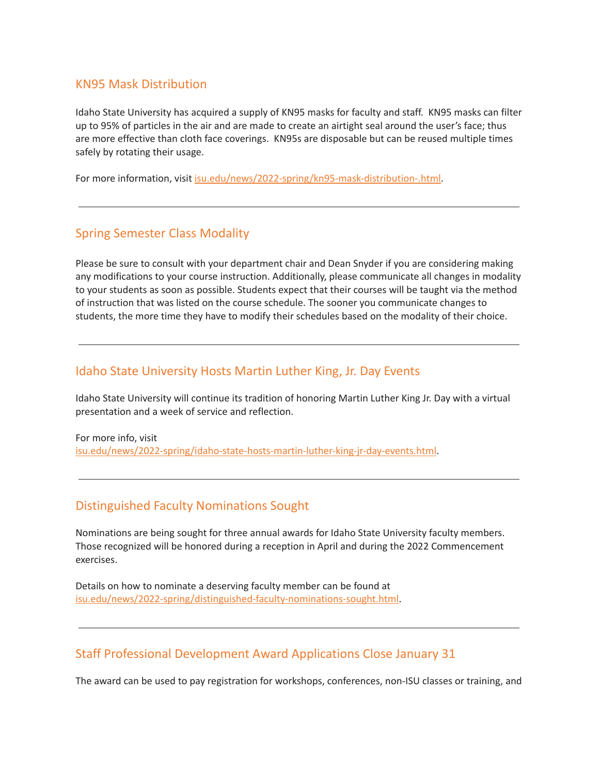#### KN95 Mask Distribution

Idaho State University has acquired a supply of KN95 masks for faculty and staff. KN95 masks can filter up to 95% of particles in the air and are made to create an airtight seal around the user's face; thus are more effective than cloth face coverings. KN95s are disposable but can be reused multiple times safely by rotating their usage.

For more information, visit [isu.edu/news/2022-spring/kn95-mask-distribution-.html.](https://www.isu.edu/news/2022-spring/kn95-mask-distribution-.html)

## Spring Semester Class Modality

Please be sure to consult with your department chair and Dean Snyder if you are considering making any modifications to your course instruction. Additionally, please communicate all changes in modality to your students as soon as possible. Students expect that their courses will be taught via the method of instruction that was listed on the course schedule. The sooner you communicate changes to students, the more time they have to modify their schedules based on the modality of their choice.

#### Idaho State University Hosts Martin Luther King, Jr. Day Events

Idaho State University will continue its tradition of honoring Martin Luther King Jr. Day with a virtual presentation and a week of service and reflection.

For more info, visit [isu.edu/news/2022-spring/idaho-state-hosts-martin-luther-king-jr-day-events.html](https://www.isu.edu/news/2022-spring/idaho-state-hosts-martin-luther-king-jr-day-events.html).

#### Distinguished Faculty Nominations Sought

Nominations are being sought for three annual awards for Idaho State University faculty members. Those recognized will be honored during a reception in April and during the 2022 Commencement exercises.

Details on how to nominate a deserving faculty member can be found at [isu.edu/news/2022-spring/distinguished-faculty-nominations-sought.html.](https://www.isu.edu/news/2022-spring/distinguished-faculty-nominations-sought.html)

## Staff Professional Development Award Applications Close January 31

The award can be used to pay registration for workshops, conferences, non-ISU classes or training, and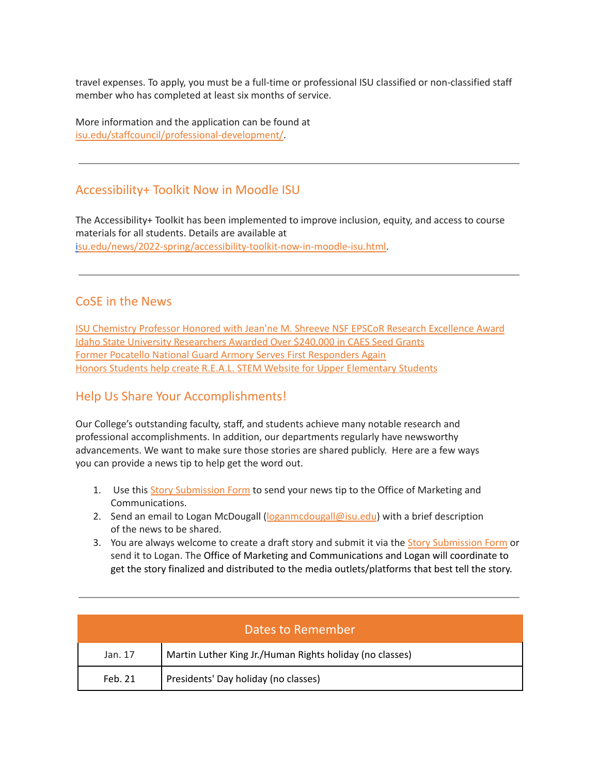travel expenses. To apply, you must be a full-time or professional ISU classified or non-classified staff member who has completed at least six months of service.

More information and the application can be found at [isu.edu/staffcouncil/professional-development/.](https://www.isu.edu/staffcouncil/professional-development/)

## Accessibility+ Toolkit Now in Moodle ISU

The Accessibility+ Toolkit has been implemented to improve inclusion, equity, and access to course materials for all students. Details are available at [isu.edu/news/2022-spring/accessibility-toolkit-now-in-moodle-isu.html.](https://www.isu.edu/news/2022-spring/accessibility-toolkit-now-in-moodle-isu.html)

#### CoSE in the News

ISU Chemistry Professor Honored with Jean'ne M. Shreeve NSF EPSCoR Research [Excellence](https://www.isu.edu/news/2022-spring/isu-chemistry-professor-honored-with-jeanne-m-shreeve-nsf-epscor-research-excellence-award.html) Award Idaho State University [Researchers](https://www.isu.edu/news/2022-spring/-idaho-state-university-researchers-awarded-over-240000-in-caes-seed-grants.html) Awarded Over \$240,000 in CAES Seed Grants Former Pocatello National Guard Armory Serves First [Responders](https://inl.gov/article/former-pocatello-national-guard-armory-serves-first-responders-again/) Again Honors Students help create R.E.A.L. STEM Website for Upper [Elementary](https://www.isu.edu/news/2022-spring/honors-students-help-create-real-stem-website-for-upper-elementary-students.html) Students

## Help Us Share Your Accomplishments!

Our College's outstanding faculty, staff, and students achieve many notable research and professional accomplishments. In addition, our departments regularly have newsworthy advancements. We want to make sure those stories are shared publicly. Here are a few ways you can provide a news tip to help get the word out.

- 1. Use this Story [Submission](https://www.isu.edu/news/story-form/) Form to send your news tip to the Office of Marketing and Communications.
- 2. Send an email to Logan McDougall ([loganmcdougall@isu.edu](mailto:loganmcdougall@isu.edu)) with a brief description of the news to be shared.
- 3. You are always welcome to create a draft story and submit it via the Story [Submission](https://www.isu.edu/news/story-form/) Form or send it to Logan. The Office of Marketing and Communications and Logan will coordinate to get the story finalized and distributed to the media outlets/platforms that best tell the story.

| Dates to Remember |                                                          |  |
|-------------------|----------------------------------------------------------|--|
| Jan. 17           | Martin Luther King Jr./Human Rights holiday (no classes) |  |
| Feb. 21           | Presidents' Day holiday (no classes)                     |  |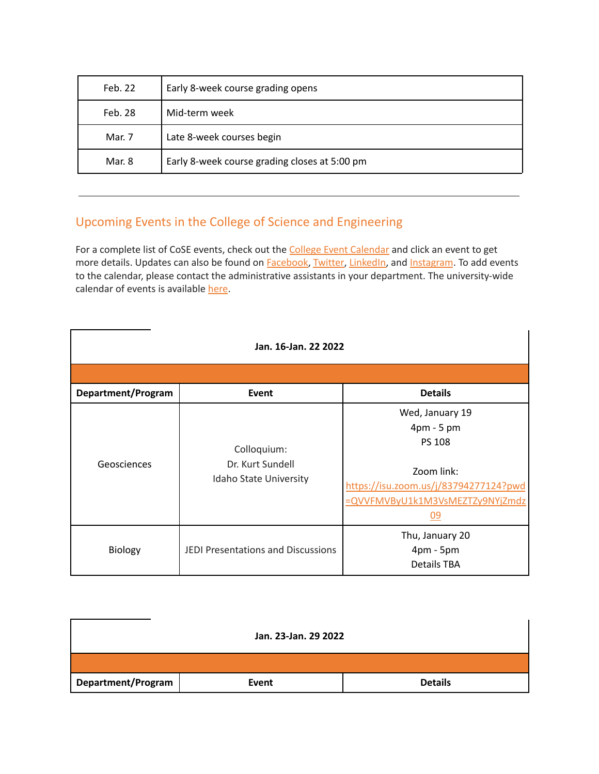| Feb. 22 | Early 8-week course grading opens             |
|---------|-----------------------------------------------|
| Feb. 28 | Mid-term week                                 |
| Mar. 7  | Late 8-week courses begin                     |
| Mar. 8  | Early 8-week course grading closes at 5:00 pm |

# Upcoming Events in the College of Science and Engineering

For a complete list of CoSE events, check out the College Event [Calendar](https://isu.edu/cse/calendar/) and click an event to get more details. Updates can also be found on [Facebook](https://www.facebook.com/IdahoStateUCoSE), [Twitter](https://twitter.com/IdahoStateUCoSE), [LinkedIn,](https://www.linkedin.com/company/idaho-state-university-college-of-science-and-engineering) and [Instagram](https://www.instagram.com/idahostateucose/). To add events to the calendar, please contact the administrative assistants in your department. The university-wide calendar of events is available [here](https://www.isu.edu/calendar/).

| Jan. 16-Jan. 22 2022 |                                                           |                                                                                                                                                                 |  |  |
|----------------------|-----------------------------------------------------------|-----------------------------------------------------------------------------------------------------------------------------------------------------------------|--|--|
|                      |                                                           |                                                                                                                                                                 |  |  |
| Department/Program   | Event                                                     | <b>Details</b>                                                                                                                                                  |  |  |
| Geosciences          | Colloquium:<br>Dr. Kurt Sundell<br>Idaho State University | Wed, January 19<br>$4 \text{pm} - 5 \text{pm}$<br><b>PS 108</b><br>Zoom link:<br>https://isu.zoom.us/j/83794277124?pwd<br>=QVVFMVByU1k1M3VsMEZTZy9NYjZmdz<br>09 |  |  |
| Biology              | <b>JEDI Presentations and Discussions</b>                 | Thu, January 20<br>4pm - 5pm<br><b>Details TBA</b>                                                                                                              |  |  |

| Jan. 23-Jan. 29 2022 |       |                |  |  |
|----------------------|-------|----------------|--|--|
|                      |       |                |  |  |
| Department/Program   | Event | <b>Details</b> |  |  |